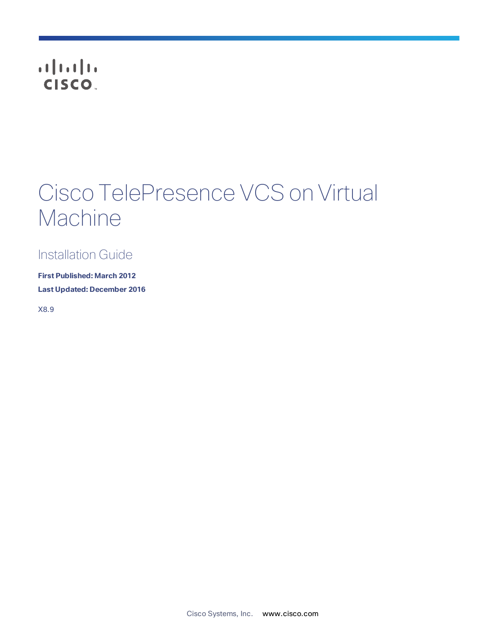## CISCO.

## Cisco TelePresence VCS on Virtual Machine

Installation Guide

**First Published: March 2012 Last Updated: December 2016**

X8.9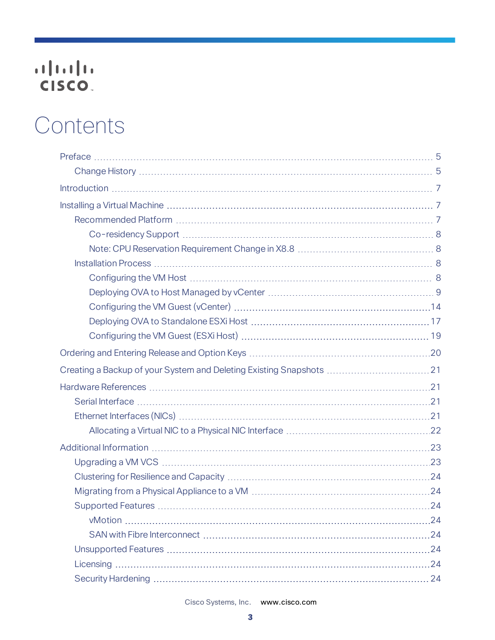# 

## Contents

Cisco Systems, Inc.  [www.cisco.com](http://www.cisco.com/)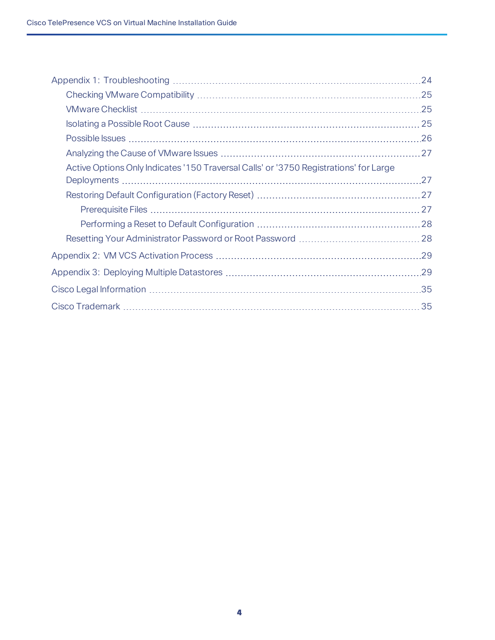|                                                                                       | 24  |
|---------------------------------------------------------------------------------------|-----|
|                                                                                       |     |
|                                                                                       | .25 |
|                                                                                       |     |
|                                                                                       |     |
|                                                                                       |     |
| Active Options Only Indicates '150 Traversal Calls' or '3750 Registrations' for Large |     |
|                                                                                       | .27 |
|                                                                                       |     |
|                                                                                       |     |
|                                                                                       |     |
|                                                                                       |     |
|                                                                                       |     |
|                                                                                       |     |
|                                                                                       |     |
|                                                                                       | 35  |
|                                                                                       |     |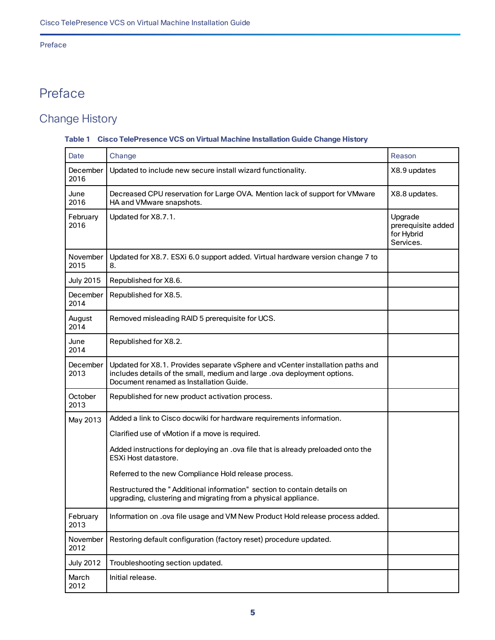## Preface

## <span id="page-4-0"></span>Preface

## <span id="page-4-1"></span>Change History

## **Table 1 Cisco TelePresence VCS on Virtual Machine Installation Guide Change History**

| Date             | Change                                                                                                                                                                                                | Reason                                                   |
|------------------|-------------------------------------------------------------------------------------------------------------------------------------------------------------------------------------------------------|----------------------------------------------------------|
| December<br>2016 | Updated to include new secure install wizard functionality.                                                                                                                                           | X8.9 updates                                             |
| June<br>2016     | Decreased CPU reservation for Large OVA. Mention lack of support for VMware<br>HA and VMware snapshots.                                                                                               | X8.8 updates.                                            |
| February<br>2016 | Updated for X8.7.1.                                                                                                                                                                                   | Upgrade<br>prerequisite added<br>for Hybrid<br>Services. |
| November<br>2015 | Updated for X8.7. ESXi 6.0 support added. Virtual hardware version change 7 to<br>8.                                                                                                                  |                                                          |
| <b>July 2015</b> | Republished for X8.6.                                                                                                                                                                                 |                                                          |
| December<br>2014 | Republished for X8.5.                                                                                                                                                                                 |                                                          |
| August<br>2014   | Removed misleading RAID 5 prerequisite for UCS.                                                                                                                                                       |                                                          |
| June<br>2014     | Republished for X8.2.                                                                                                                                                                                 |                                                          |
| December<br>2013 | Updated for X8.1. Provides separate vSphere and vCenter installation paths and<br>includes details of the small, medium and large .ova deployment options.<br>Document renamed as Installation Guide. |                                                          |
| October<br>2013  | Republished for new product activation process.                                                                                                                                                       |                                                          |
| May 2013         | Added a link to Cisco docwiki for hardware requirements information.                                                                                                                                  |                                                          |
|                  | Clarified use of vMotion if a move is required.                                                                                                                                                       |                                                          |
|                  | Added instructions for deploying an .ova file that is already preloaded onto the<br>ESXi Host datastore.                                                                                              |                                                          |
|                  | Referred to the new Compliance Hold release process.                                                                                                                                                  |                                                          |
|                  | Restructured the "Additional information" section to contain details on<br>upgrading, clustering and migrating from a physical appliance.                                                             |                                                          |
| February<br>2013 | Information on .ova file usage and VM New Product Hold release process added.                                                                                                                         |                                                          |
| November<br>2012 | Restoring default configuration (factory reset) procedure updated.                                                                                                                                    |                                                          |
| <b>July 2012</b> | Troubleshooting section updated.                                                                                                                                                                      |                                                          |
| March<br>2012    | Initial release.                                                                                                                                                                                      |                                                          |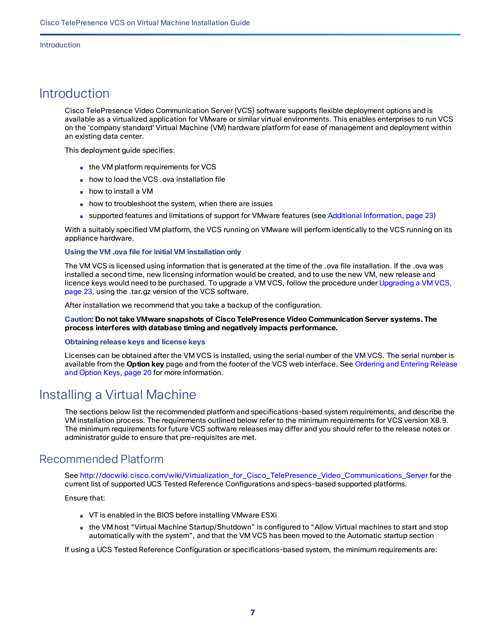#### Introduction

## <span id="page-6-0"></span>**Introduction**

Cisco TelePresence Video Communication Server (VCS) software supports flexible deployment options and is available as a virtualized application for VMware or similar virtual environments. This enables enterprises to run VCS on the 'company standard' Virtual Machine (VM) hardware platform for ease of management and deployment within an existing data center.

This deployment guide specifies:

- the VM platform requirements for VCS
- how to load the VCS .ova installation file
- how to install a VM
- how to troubleshoot the system, when there are issues
- supported features and limitations of support for VMware features (see Additional [Information,](#page-22-0) page 23)

With a suitably specified VM platform, the VCS running on VMware will perform identically to the VCS running on its appliance hardware.

## **Using the VM .ova file for initial VM installation only**

The VM VCS is licensed using information that is generated at the time of the .ova file installation. If the .ova was installed a second time, new licensing information would be created, and to use the new VM, new release and licence keys would need to be purchased. To upgrade a VM VCS, follow the procedure under [Upgrading](#page-22-1) a VM VCS, [page](#page-22-1) 23, using the .tar.gz version of the VCS software.

After installation we recommend that you take a backup of the configuration.

**Caution: Do not take VMware snapshots of Cisco TelePresence Video Communication Server systems. The process interferes with database timing and negatively impacts performance.**

#### **Obtaining release keys and license keys**

Licenses can be obtained after the VM VCS is installed, using the serial number of the VM VCS. The serial number is available from the **Option key** page and from the footer of the VCS web interface. See [Ordering](#page-19-0) and Entering Release and [Option](#page-19-0) Keys, page 20 for more information.

## <span id="page-6-1"></span>Installing a Virtual Machine

The sections below list the recommended platform and specifications-based system requirements, and describe the VM installation process. The requirements outlined below refer to the minimum requirements for VCS version X8.9. The minimum requirements for future VCS software releases may differ and you should refer to the release notes or administrator guide to ensure that pre-requisites are met.

## <span id="page-6-2"></span>Recommended Platform

See [http://docwiki.cisco.com/wiki/Virtualization\\_for\\_Cisco\\_TelePresence\\_Video\\_Communications\\_Server](http://docwiki.cisco.com/wiki/Virtualization_for_Cisco_TelePresence_Video_Communications_Server) for the current list of supported UCS Tested Reference Configurations and specs-based supported platforms.

Ensure that:

- VT is enabled in the BIOS before installing VMware ESXi
- the VM host "Virtual Machine Startup/Shutdown" is configured to "Allow Virtual machines to start and stop automatically with the system", and that the VM VCS has been moved to the Automatic startup section

If using a UCS Tested Reference Configuration or specifications-based system, the minimum requirements are: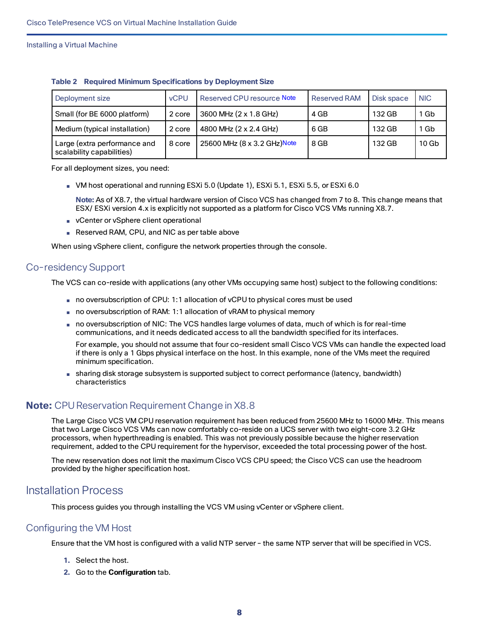| Deployment size                                           | <b>vCPU</b> | Reserved CPU resource Note  | <b>Reserved RAM</b> | Disk space | <b>NIC</b>       |
|-----------------------------------------------------------|-------------|-----------------------------|---------------------|------------|------------------|
| Small (for BE 6000 platform)                              | 2 core      | 3600 MHz (2 x 1.8 GHz)      | 4 GB                | 132 GB     | Gb               |
| Medium (typical installation)                             | 2 core      | 4800 MHz (2 x 2.4 GHz)      | 6 GB                | 132 GB     | Gb               |
| Large (extra performance and<br>scalability capabilities) | 8 core      | 25600 MHz (8 x 3.2 GHz)Note | 8 GB                | 132 GB     | 10 <sub>Gb</sub> |

|  |  |  |  |  | <b>Table 2 Required Minimum Specifications by Deployment Size</b> |
|--|--|--|--|--|-------------------------------------------------------------------|
|--|--|--|--|--|-------------------------------------------------------------------|

For all deployment sizes, you need:

■ VM host operational and running ESXi 5.0 (Update 1), ESXi 5.1, ESXi 5.5, or ESXi 6.0

**Note:** As of X8.7, the virtual hardware version of Cisco VCS has changed from 7 to 8. This change means that ESX/ ESXi version 4.x is explicitly not supported as a platform for Cisco VCS VMs running X8.7.

- vCenter or vSphere client operational
- Reserved RAM, CPU, and NIC as per table above

When using vSphere client, configure the network properties through the console.

## <span id="page-7-0"></span>Co-residency Support

The VCS can co-reside with applications (any other VMs occupying same host) subject to the following conditions:

- no oversubscription of CPU: 1:1 allocation of vCPU to physical cores must be used
- no oversubscription of RAM: 1:1 allocation of vRAM to physical memory
- no oversubscription of NIC: The VCS handles large volumes of data, much of which is for real-time communications, and it needs dedicated access to all the bandwidth specified for its interfaces.

For example, you should not assume that four co-resident small Cisco VCS VMs can handle the expected load if there is only a 1 Gbps physical interface on the host. In this example, none of the VMs meet the required minimum specification.

■ sharing disk storage subsystem is supported subject to correct performance (latency, bandwidth) characteristics

## <span id="page-7-1"></span>**Note:** CPU Reservation Requirement Change in X8.8

The Large Cisco VCS VM CPU reservation requirement has been reduced from 25600 MHz to 16000 MHz. This means that two Large Cisco VCS VMs can now comfortably co-reside on a UCS server with two eight-core 3.2 GHz processors, when hyperthreading is enabled. This was not previously possible because the higher reservation requirement, added to the CPU requirement for the hypervisor, exceeded the total processing power of the host.

The new reservation does not limit the maximum Cisco VCS CPU speed; the Cisco VCS can use the headroom provided by the higher specification host.

## <span id="page-7-2"></span>Installation Process

This process guides you through installing the VCS VM using vCenter or vSphere client.

## <span id="page-7-3"></span>Configuring the VM Host

Ensure that the VM host is configured with a valid NTP server – the same NTP server that will be specified in VCS.

- **1.** Select the host.
- **2.** Go to the **Configuration** tab.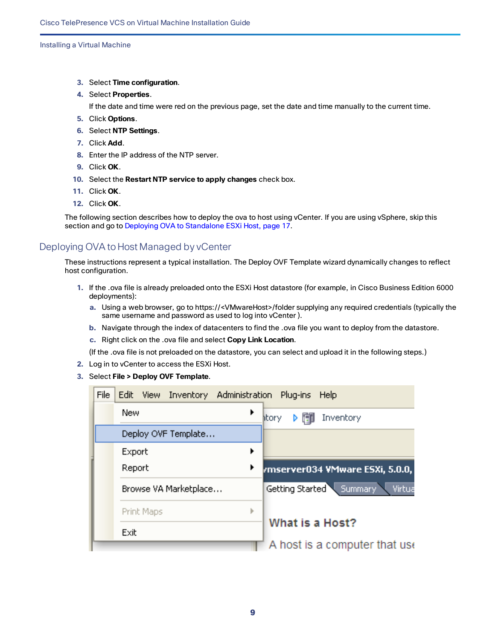- **3.** Select **Time configuration**.
- **4.** Select **Properties**.

If the date and time were red on the previous page, set the date and time manually to the current time.

- **5.** Click **Options**.
- **6.** Select **NTP Settings**.
- **7.** Click **Add**.
- **8.** Enter the IP address of the NTP server.
- **9.** Click **OK**.
- **10.** Select the **Restart NTP service to apply changes** check box.
- **11.** Click **OK**.
- **12.** Click **OK**.

The following section describes how to deploy the ova to host using vCenter. If you are using vSphere, skip this section and go to Deploying OVA to [Standalone](#page-16-0) ESXi Host, page 17.

## <span id="page-8-0"></span>Deploying OVA to Host Managed by vCenter

These instructions represent a typical installation. The Deploy OVF Template wizard dynamically changes to reflect host configuration.

- **1.** If the .ova file is already preloaded onto the ESXi Host datastore (for example, in Cisco Business Edition 6000 deployments):
	- **a.** Using a web browser, go to https://<VMwareHost>/folder supplying any required credentials (typically the same username and password as used to log into vCenter ).
	- **b.** Navigate through the index of datacenters to find the .ova file you want to deploy from the datastore.
	- **c.** Right click on the .ova file and select **Copy Link Location**.

(If the .ova file is not preloaded on the datastore, you can select and upload it in the following steps.)

- **2.** Log in to vCenter to access the ESXi Host.
- **3.** Select **File > Deploy OVF Template**.

| File | Inventory Administration Plug-ins<br>Edit View | <b>Help</b>                       |
|------|------------------------------------------------|-----------------------------------|
|      | New<br>▶                                       | Inventory<br>htory                |
|      | Deploy OVF Template                            |                                   |
|      | Export<br>▶                                    |                                   |
|      | Report                                         | rmserver034 VMware ESXi, 5.0.0,   |
|      | Browse VA Marketplace                          | Getting Started Summary<br>Virtua |
|      | Print Maps<br>ь                                |                                   |
|      | Exit                                           | What is a Host?                   |
|      |                                                | A host is a computer that use     |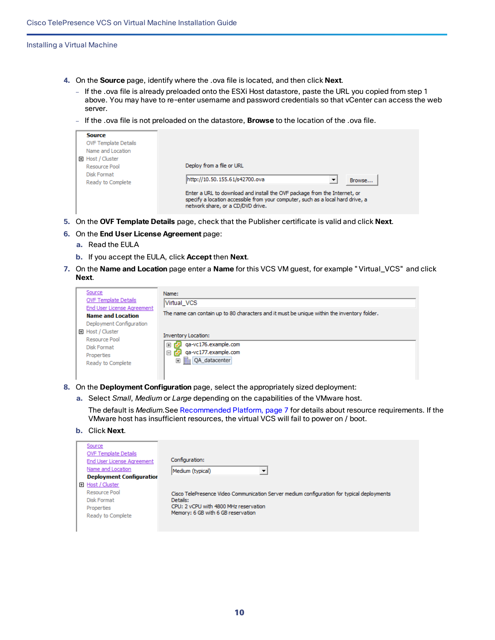- **4.** On the **Source** page, identify where the .ova file is located, and then click **Next**.
	- If the .ova file is already preloaded onto the ESXi Host datastore, paste the URL you copied from step 1 above. You may have to re-enter username and password credentials so that vCenter can access the web server.
	- If the .ova file is not preloaded on the datastore, **Browse** to the location of the .ova file.

| <b>Source</b><br><b>OVF Template Details</b><br>Name and Location<br>田 Host / Cluster<br>Resource Pool<br><b>Disk Format</b><br>Ready to Complete |
|---------------------------------------------------------------------------------------------------------------------------------------------------|
|---------------------------------------------------------------------------------------------------------------------------------------------------|

- **5.** On the **OVF Template Details** page, check that the Publisher certificate is valid and click **Next**.
- **6.** On the **End User License Agreement** page:
	- **a.** Read the EULA
	- **b.** If you accept the EULA, click **Accept** then **Next**.
- **7.** On the **Name and Location** page enter a **Name** for this VCS VM guest, for example "Virtual\_VCS" and click **Next**.

| Source<br><b>OVF Template Details</b>                  | Name:<br>Virtual_VCS                                                                        |
|--------------------------------------------------------|---------------------------------------------------------------------------------------------|
| End User License Agreement<br><b>Name and Location</b> | The name can contain up to 80 characters and it must be unique within the inventory folder. |
| Deployment Configuration                               |                                                                                             |
| El Host / Cluster                                      | <b>Inventory Location:</b>                                                                  |
| Resource Pool                                          |                                                                                             |
| Disk Format                                            | ga-vc176.example.com<br>$\overline{+}$                                                      |
| Properties                                             | ga-vc177.example.com<br>$\boxminus$                                                         |
| Ready to Complete                                      | Ha QA_datacenter<br>$\overline{+}$                                                          |
|                                                        |                                                                                             |

**8.** On the **Deployment Configuration** page, select the appropriately sized deployment:

**a.** Select *Small*, *Medium* or *Large* depending on the capabilities of the VMware host.

The default is *Medium*.See [Recommended](#page-6-2) Platform, page 7 for details about resource requirements. If the VMware host has insufficient resources, the virtual VCS will fail to power on / boot.

**b.** Click **Next**.

| Source                            |                                                                                            |
|-----------------------------------|--------------------------------------------------------------------------------------------|
| <b>OVF Template Details</b>       |                                                                                            |
| <b>End User License Agreement</b> | Configuration:                                                                             |
| Name and Location                 | Medium (typical)                                                                           |
| <b>Deployment Configuration</b>   |                                                                                            |
| 田 Host / Cluster                  |                                                                                            |
| Resource Pool                     | Cisco TelePresence Video Communication Server medium configuration for typical deployments |
| Disk Format                       | Details:                                                                                   |
| Properties                        | CPU: 2 vCPU with 4800 MHz reservation                                                      |
| Ready to Complete                 | Memory: 6 GB with 6 GB reservation                                                         |
|                                   |                                                                                            |
|                                   |                                                                                            |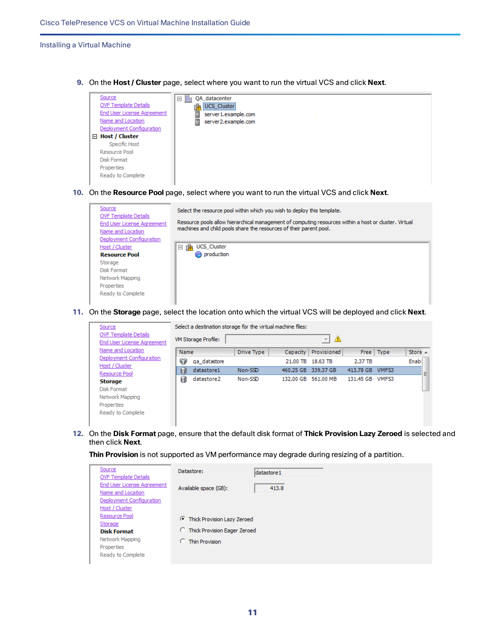**9.** On the **Host / Cluster** page, select where you want to run the virtual VCS and click **Next**.



**10.** On the **Resource Pool** page, select where you want to run the virtual VCS and click **Next**.



**11.** On the **Storage** page, select the location onto which the virtual VCS will be deployed and click **Next**.

| Source                            |      | Select a destination storage for the virtual machine files: |                   |          |                        |           |                   |              |
|-----------------------------------|------|-------------------------------------------------------------|-------------------|----------|------------------------|-----------|-------------------|--------------|
| <b>OVF Template Details</b>       |      | VM Storage Profile:                                         |                   |          | ⚠<br>$\overline{\psi}$ |           |                   |              |
| <b>End User License Agreement</b> |      |                                                             |                   |          |                        |           |                   |              |
| Name and Location                 | Name |                                                             | <b>Drive Type</b> | Capacity | Provisioned            |           | Free Type         | Stora $\sim$ |
| Deployment Configuration          | Φ    | ga datastore                                                |                   | 21.00 TB | 18.63 TB               | 2.37 TB   |                   | Enabl        |
| Host / Cluster                    | 国    | datastore1                                                  | Non-SSD           |          | 460.25 GB 339.37 GB    | 413.78 GB | VMFS3             |              |
| Resource Pool<br><b>Storage</b>   | Ø    | datastore2                                                  | Non-SSD           |          | 132.00 GB 561.00 MB    | 131.45 GB | VMF <sub>53</sub> | Ξ            |
| Disk Format                       |      |                                                             |                   |          |                        |           |                   |              |
| Network Mapping                   |      |                                                             |                   |          |                        |           |                   |              |
| Properties                        |      |                                                             |                   |          |                        |           |                   |              |
| Ready to Complete                 |      |                                                             |                   |          |                        |           |                   |              |
|                                   |      |                                                             |                   |          |                        |           |                   |              |

**12.** On the **Disk Format** page, ensure that the default disk format of **Thick Provision Lazy Zeroed** is selected and then click **Next**.

**Thin Provision** is not supported as VM performance may degrade during resizing of a partition.

| Source<br><b>OVF Template Details</b>         | Datastore:                            | datastore 1 |
|-----------------------------------------------|---------------------------------------|-------------|
| End User License Agreement                    | Available space (GB):                 | 413.8       |
| Name and Location<br>Deployment Configuration |                                       |             |
| Host / Cluster                                |                                       |             |
| Resource Pool                                 | Thick Provision Lazy Zeroed           |             |
| Storage<br><b>Disk Format</b>                 | <b>C</b> Thick Provision Eager Zeroed |             |
| Network Mapping                               | C Thin Provision                      |             |
| Properties<br>Ready to Complete               |                                       |             |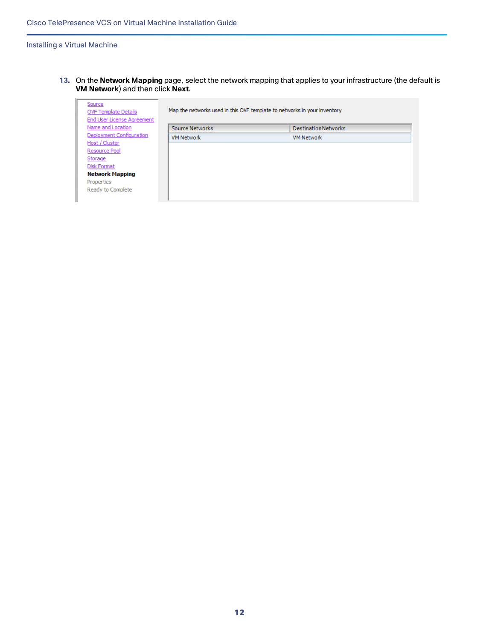**13.** On the **Network Mapping** page, select the network mapping that applies to your infrastructure (the default is **VM Network**) and then click **Next**.

| Source<br><b>OVF Template Details</b><br>End User License Agreement | Map the networks used in this OVF template to networks in your inventory |                             |  |  |  |  |  |
|---------------------------------------------------------------------|--------------------------------------------------------------------------|-----------------------------|--|--|--|--|--|
| Name and Location                                                   | Source Networks                                                          | <b>Destination Networks</b> |  |  |  |  |  |
| Deployment Configuration                                            | <b>VM Network</b>                                                        | <b>VM Network</b>           |  |  |  |  |  |
| Host / Cluster                                                      |                                                                          |                             |  |  |  |  |  |
| Resource Pool                                                       |                                                                          |                             |  |  |  |  |  |
| Storage                                                             |                                                                          |                             |  |  |  |  |  |
| Disk Format                                                         |                                                                          |                             |  |  |  |  |  |
| <b>Network Mapping</b>                                              |                                                                          |                             |  |  |  |  |  |
| Properties                                                          |                                                                          |                             |  |  |  |  |  |
| Ready to Complete                                                   |                                                                          |                             |  |  |  |  |  |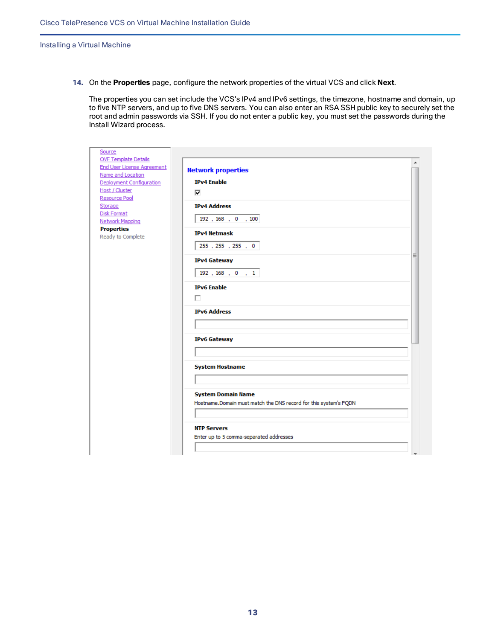**14.** On the **Properties** page, configure the network properties of the virtual VCS and click **Next**.

The properties you can set include the VCS's IPv4 and IPv6 settings, the timezone, hostname and domain, up to five NTP servers, and up to five DNS servers. You can also enter an RSA SSH public key to securely set the root and admin passwords via SSH. If you do not enter a public key, you must set the passwords during the Install Wizard process.

| Source                                        |                                                                  |  |
|-----------------------------------------------|------------------------------------------------------------------|--|
| <b>OVF Template Details</b>                   |                                                                  |  |
| End User License Agreement                    | <b>Network properties</b>                                        |  |
| Name and Location<br>Deployment Configuration | <b>IPv4 Enable</b>                                               |  |
| Host / Cluster                                |                                                                  |  |
| Resource Pool                                 | ⊽                                                                |  |
| Storage                                       | <b>IPv4 Address</b>                                              |  |
| <b>Disk Format</b>                            |                                                                  |  |
| Network Mapping                               | 192 , 168 , 0 , 100                                              |  |
| <b>Properties</b>                             | <b>IPv4 Netmask</b>                                              |  |
| Ready to Complete                             |                                                                  |  |
|                                               | 255, 255, 255, 0                                                 |  |
|                                               | Ξ                                                                |  |
|                                               | <b>IPv4 Gateway</b>                                              |  |
|                                               | $192$ , $168$ , 0, 1                                             |  |
|                                               |                                                                  |  |
|                                               | <b>IPv6</b> Enable                                               |  |
|                                               | п                                                                |  |
|                                               | <b>IPv6 Address</b>                                              |  |
|                                               |                                                                  |  |
|                                               |                                                                  |  |
|                                               | <b>IPv6 Gateway</b>                                              |  |
|                                               |                                                                  |  |
|                                               |                                                                  |  |
|                                               |                                                                  |  |
|                                               | <b>System Hostname</b>                                           |  |
|                                               |                                                                  |  |
|                                               |                                                                  |  |
|                                               | <b>System Domain Name</b>                                        |  |
|                                               | Hostname.Domain must match the DNS record for this system's FQDN |  |
|                                               |                                                                  |  |
|                                               |                                                                  |  |
|                                               | <b>NTP Servers</b>                                               |  |
|                                               | Enter up to 5 comma-separated addresses                          |  |
|                                               |                                                                  |  |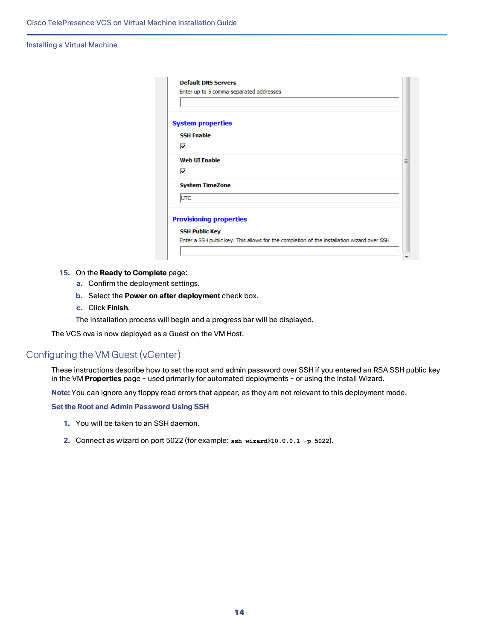| <b>System properties</b> |                                |
|--------------------------|--------------------------------|
| <b>SSH Enable</b>        |                                |
| ⊽                        |                                |
| <b>Web UI Enable</b>     |                                |
| ⊽                        |                                |
| <b>System TimeZone</b>   |                                |
| lutc                     |                                |
|                          | <b>Provisioning properties</b> |
| <b>SSH Public Key</b>    |                                |

- **15.** On the **Ready to Complete** page:
	- **a.** Confirm the deployment settings.
	- **b.** Select the **Power on after deployment** check box.
	- **c.** Click **Finish**.

The installation process will begin and a progress bar will be displayed.

The VCS ova is now deployed as a Guest on the VM Host.

## <span id="page-13-0"></span>Configuring the VM Guest (vCenter)

These instructions describe how to set the root and admin password over SSH if you entered an RSA SSH public key in the VM **Properties** page – used primarily for automated deployments - or using the Install Wizard.

**Note:** You can ignore any floppy read errors that appear, as they are not relevant to this deployment mode.

#### **Set the Root and Admin Password Using SSH**

- **1.** You will be taken to an SSH daemon.
- **2.** Connect as wizard on port 5022 (for example: **ssh wizard@10.0.0.1 -p 5022**).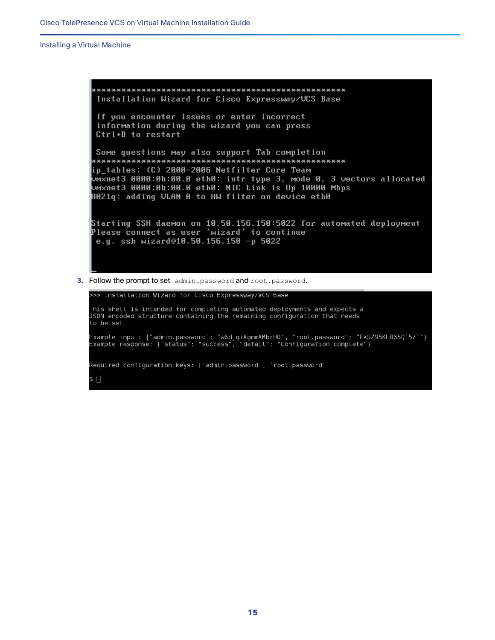Installation Wizard for Cisco Expressway/VCS Base If you encounter issues or enter incorrect information during the wizard you can press Ctrl+D to restart Some questions may also support Tab completion ip\_tables: (C) 2000-2006 Netfilter Core Team UMXnet3 0000:0b:00.0 eth0: intr type 3, mode 0, 3 vectors allocated<br>UMXnet3 0000:0b:00.0 eth0: NIC Link is Up 10000 Mbps 8021q: adding VLAN 0 to HW filter on device eth0 Starting SSH daemon on 10.50.156.150:5022 for automated deployment Please connect as user 'wizard' to continue e.g. ssh wizard@10.50.156.150 -p 5022

**3.** Follow the prompt to set admin.password and root.password.

>>> Installation Wizard for Cisco Expressway/VCS Base This shell is intended for completing automated deployments and expects a JSON encoded structure containing the remaining configuration that needs to be set. Example input: {"admin.password": "w6djqiAgmmAMbrH0", "root.password": "FkSZ95KL865Q15/T"} Example response: {"status": "success", "detail": "Configuration complete"} Required configuration keys: ['admin.password', 'root.password'] \$ ∏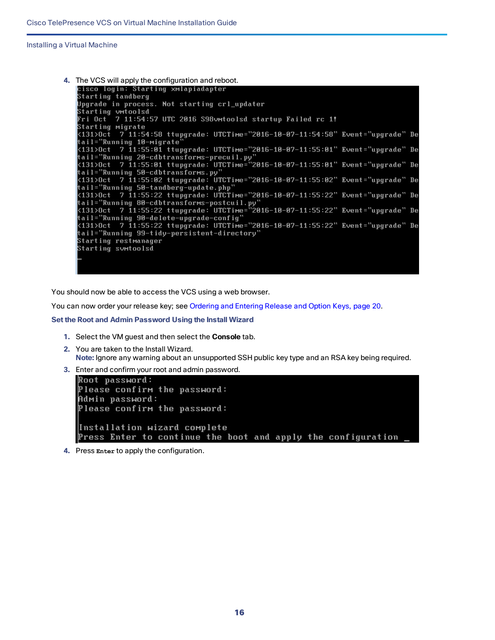

You should now be able to access the VCS using a web browser.

You can now order your release key; see [Ordering](#page-19-0) and Entering Release and Option Keys, page 20.

**Set the Root and Admin Password Using the Install Wizard**

- **1.** Select the VM guest and then select the **Console** tab.
- **2.** You are taken to the Install Wizard. **Note:** Ignore any warning about an unsupported SSH public key type and an RSA key being required.
- **3.** Enter and confirm your root and admin password.

```
Root password:
Please confirm the password:
Admin password:
Please confirm the password:
Installation wizard complete
Press Enter to continue the boot and apply the configuration
```
**4.** Press **Enter** to apply the configuration.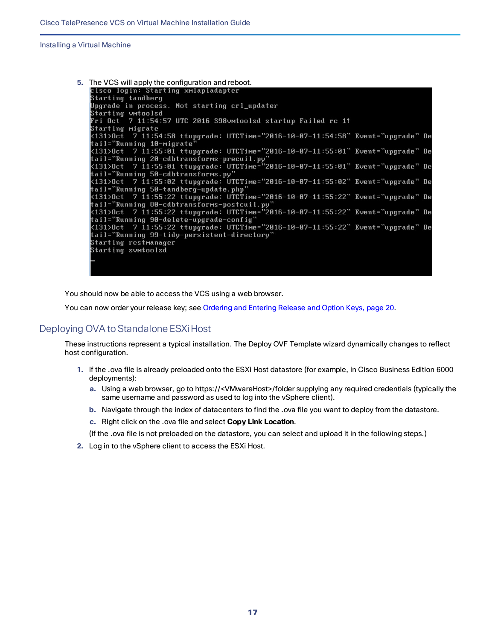

You should now be able to access the VCS using a web browser.

You can now order your release key; see [Ordering](#page-19-0) and Entering Release and Option Keys, page 20.

## <span id="page-16-0"></span>Deploying OVA to Standalone ESXi Host

These instructions represent a typical installation. The Deploy OVF Template wizard dynamically changes to reflect host configuration.

- **1.** If the .ova file is already preloaded onto the ESXi Host datastore (for example, in Cisco Business Edition 6000 deployments):
	- **a.** Using a web browser, go to https://<VMwareHost>/folder supplying any required credentials (typically the same username and password as used to log into the vSphere client).
	- **b.** Navigate through the index of datacenters to find the .ova file you want to deploy from the datastore.
	- **c.** Right click on the .ova file and select **Copy Link Location**.

(If the .ova file is not preloaded on the datastore, you can select and upload it in the following steps.)

**2.** Log in to the vSphere client to access the ESXi Host.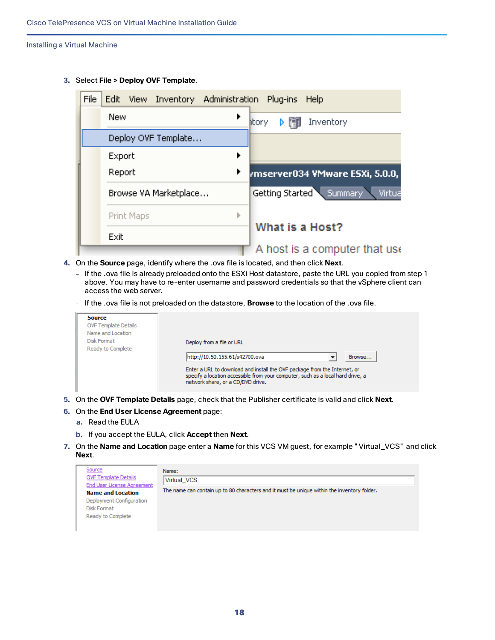**3.** Select **File > Deploy OVF Template**.

| File | Edit View Inventory Administration Plug-ins Help |   |                                   |
|------|--------------------------------------------------|---|-----------------------------------|
|      | New                                              |   | Inventory<br>itory                |
|      | Deploy OVF Template                              |   |                                   |
|      | Export                                           |   |                                   |
|      | Report                                           | ▶ | rmserver034 VMware ESXi, 5.0.0,   |
|      | Browse VA Marketplace                            |   | Getting Started Summary<br>Virtua |
|      | Print Maps                                       | ь |                                   |
|      | Exit                                             |   | What is a Host?                   |
|      |                                                  |   | A host is a computer that use     |

- **4.** On the **Source** page, identify where the .ova file is located, and then click **Next**.
	- If the .ova file is already preloaded onto the ESXi Host datastore, paste the URL you copied from step 1 above. You may have to re-enter username and password credentials so that the vSphere client can access the web server.
	- If the .ova file is not preloaded on the datastore, **Browse** to the location of the .ova file.

| <b>Source</b><br><b>OVF Template Details</b><br>Name and Location<br>Disk Format<br>Ready to Complete | Deploy from a file or URL<br>http://10.50.155.61/s42700.ova<br>Browse<br>▼<br>Enter a URL to download and install the OVF package from the Internet, or<br>specify a location accessible from your computer, such as a local hard drive, a<br>network share, or a CD/DVD drive. |
|-------------------------------------------------------------------------------------------------------|---------------------------------------------------------------------------------------------------------------------------------------------------------------------------------------------------------------------------------------------------------------------------------|
|-------------------------------------------------------------------------------------------------------|---------------------------------------------------------------------------------------------------------------------------------------------------------------------------------------------------------------------------------------------------------------------------------|

- **5.** On the **OVF Template Details** page, check that the Publisher certificate is valid and click **Next**.
- **6.** On the **End User License Agreement** page:
	- **a.** Read the EULA
	- **b.** If you accept the EULA, click **Accept** then **Next**.
- **7.** On the **Name and Location** page enter a **Name** for this VCS VM guest, for example "Virtual\_VCS" and click **Next**.

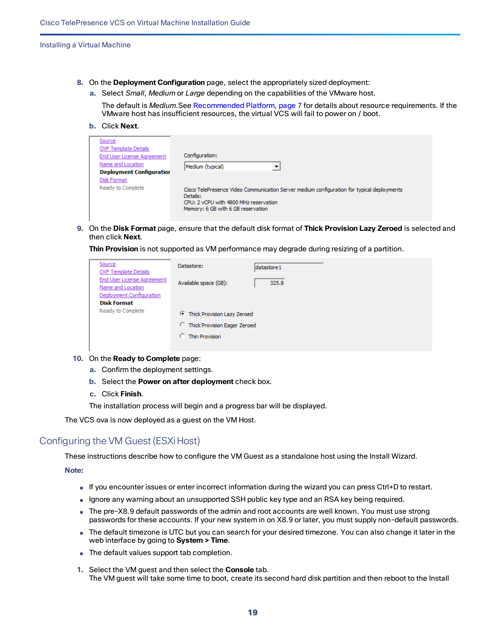- **8.** On the **Deployment Configuration** page, select the appropriately sized deployment:
	- **a.** Select *Small*, *Medium* or *Large* depending on the capabilities of the VMware host.

The default is *Medium*.See [Recommended](#page-6-2) Platform, page 7 for details about resource requirements. If the VMware host has insufficient resources, the virtual VCS will fail to power on / boot.

**b.** Click **Next**.

| Source                          |                                                                                                                                                                                       |
|---------------------------------|---------------------------------------------------------------------------------------------------------------------------------------------------------------------------------------|
| <b>OVF Template Details</b>     |                                                                                                                                                                                       |
| End User License Agreement      | Configuration:                                                                                                                                                                        |
| Name and Location               | Medium (typical)                                                                                                                                                                      |
| <b>Deployment Configuration</b> |                                                                                                                                                                                       |
| <b>Disk Format</b>              |                                                                                                                                                                                       |
| Ready to Complete               | Cisco TelePresence Video Communication Server medium configuration for typical deployments<br>Details:<br>CPU: 2 vCPU with 4800 MHz reservation<br>Memory: 6 GB with 6 GB reservation |

**9.** On the **Disk Format** page, ensure that the default disk format of **Thick Provision Lazy Zeroed** is selected and then click **Next**.

**Thin Provision** is not supported as VM performance may degrade during resizing of a partition.

| Source<br><b>OVF Template Details</b>           | Datastore:                            | datastore 1 |
|-------------------------------------------------|---------------------------------------|-------------|
| End User License Agreement<br>Name and Location | Available space (GB):                 | 325.8       |
| Deployment Configuration                        |                                       |             |
| <b>Disk Format</b>                              |                                       |             |
| Ready to Complete                               | <b>Thick Provision Lazy Zeroed</b>    |             |
|                                                 | <b>C</b> Thick Provision Eager Zeroed |             |
|                                                 | <b>C</b> Thin Provision               |             |
|                                                 |                                       |             |

- **10.** On the **Ready to Complete** page:
	- **a.** Confirm the deployment settings.
	- **b.** Select the **Power on after deployment** check box.
	- **c.** Click **Finish**.

The installation process will begin and a progress bar will be displayed.

The VCS ova is now deployed as a guest on the VM Host.

## <span id="page-18-0"></span>Configuring the VM Guest (ESXiHost)

These instructions describe how to configure the VM Guest as a standalone host using the Install Wizard.

#### **Note:**

- If you encounter issues or enter incorrect information during the wizard you can press Ctrl+D to restart.
- Ignore any warning about an unsupported SSH public key type and an RSA key being required.
- The pre-X8.9 default passwords of the admin and root accounts are well known. You must use strong passwords for these accounts. If your new system in on X8.9 or later, you must supply non-default passwords.
- The default timezone is UTC but you can search for your desired timezone. You can also change it later in the web interface by going to **System > Time**.
- The default values support tab completion.
- **1.** Select the VM guest and then select the **Console** tab. The VM guest will take some time to boot, create its second hard disk partition and then reboot to the Install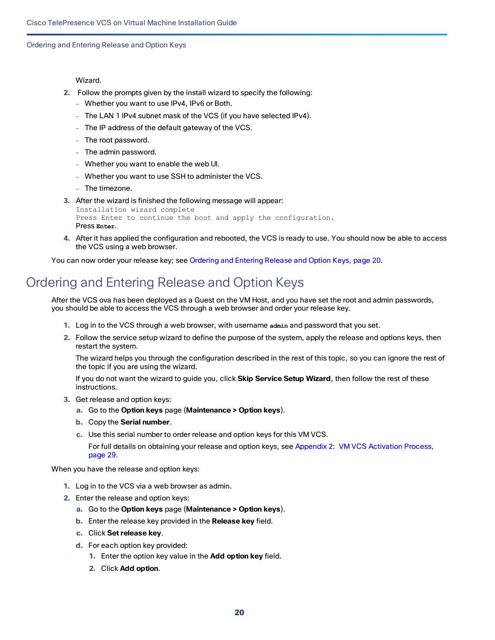Ordering and Entering Release and Option Keys

Wizard.

- **2.** Follow the prompts given by the install wizard to specify the following:
	- Whether you want to use IPv4, IPv6 or Both.
	- The LAN 1 IPv4 subnet mask of the VCS (if you have selected IPv4).
	- The IP address of the default gateway of the VCS.
	- The root password.
	- The admin password.
	- Whether you want to enable the web UI.
	- Whether you want to use SSH to administer the VCS.
	- The timezone.
- **3.** After the wizard is finished the following message will appear:

```
Installation wizard complete
Press Enter to continue the boot and apply the configuration.
Press Enter.
```
**4.** After it has applied the configuration and rebooted, the VCS is ready to use. You should now be able to access the VCS using a web browser.

You can now order your release key; see [Ordering](#page-19-0) and Entering Release and Option Keys, page 20.

## <span id="page-19-0"></span>Ordering and Entering Release and Option Keys

After the VCS ova has been deployed as a Guest on the VM Host, and you have set the root and admin passwords, you should be able to access the VCS through a web browser and order your release key.

- **1.** Log in to the VCS through a web browser, with username **admin** and password that you set.
- **2.** Follow the service setup wizard to define the purpose of the system, apply the release and options keys, then restart the system.

The wizard helps you through the configuration described in the rest of this topic, so you can ignore the rest of the topic if you are using the wizard.

If you do not want the wizard to guide you, click **Skip Service Setup Wizard**, then follow the rest of these instructions.

- **3.** Get release and option keys:
	- **a.** Go to the **Option keys** page (**Maintenance > Option keys**).
	- **b.** Copy the **Serial number**.
	- **c.** Use this serial number to order release and option keys for this VM VCS.

For full details on obtaining your release and option keys, see Appendix 2: VM VCS [Activation](#page-28-0) Process, [page](#page-28-0) 29.

When you have the release and option keys:

- **1.** Log in to the VCS via a web browser as admin.
- **2.** Enter the release and option keys:
	- **a.** Go to the **Option keys** page (**Maintenance > Option keys**).
	- **b.** Enter the release key provided in the **Release key** field.
	- **c.** Click **Set release key**.
	- **d.** For each option key provided:
		- **1.** Enter the option key value in the **Add option key** field.
		- **2.** Click **Add option**.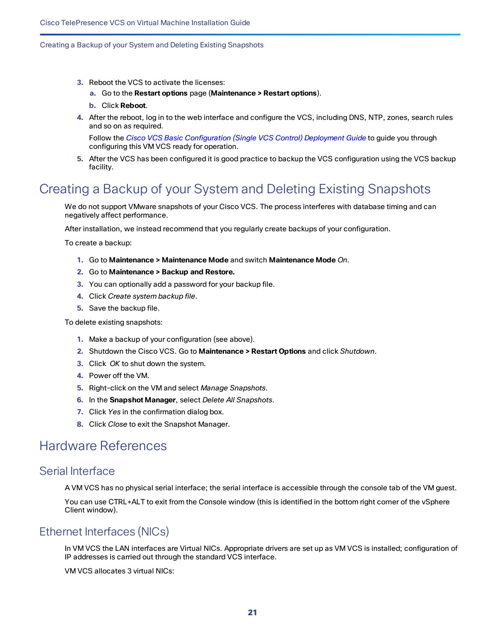### Creating a Backup of your System and Deleting Existing Snapshots

- **3.** Reboot the VCS to activate the licenses:
	- **a.** Go to the **Restart options** page (**Maintenance > Restart options**).
	- **b.** Click **Reboot**.
- **4.** After the reboot, log in to the web interface and configure the VCS, including DNS, NTP, zones, search rules and so on as required.

Follow the *Cisco VCS Basic [Configuration](http://www.cisco.com/en/US/products/ps11337/products_installation_and_configuration_guides_list.html) (Single VCS Control) Deployment Guide* to guide you through configuring this VM VCS ready for operation.

**5.** After the VCS has been configured it is good practice to backup the VCS configuration using the VCS backup facility.

## <span id="page-20-0"></span>Creating a Backup of your System and Deleting Existing Snapshots

We do not support VMware snapshots of your Cisco VCS. The process interferes with database timing and can negatively affect performance.

After installation, we instead recommend that you regularly create backups of your configuration.

To create a backup:

- **1.** Go to **Maintenance > Maintenance Mode** and switch **Maintenance Mode** *On*.
- **2.** Go to **Maintenance > Backup and Restore.**
- **3.** You can optionally add a password for your backup file.
- **4.** Click *Create system backup file*.
- **5.** Save the backup file.

To delete existing snapshots:

- **1.** Make a backup of your configuration (see above).
- **2.** Shutdown the Cisco VCS. Go to **Maintenance > Restart Options** and click *Shutdown*.
- **3.** Click *OK* to shut down the system.
- **4.** Power off the VM.
- **5.** Right-click on the VM and select *Manage Snapshots*.
- **6.** In the **Snapshot Manager**, select *Delete All Snapshots*.
- **7.** Click *Yes* in the confirmation dialog box.
- **8.** Click *Close* to exit the Snapshot Manager.

## <span id="page-20-2"></span><span id="page-20-1"></span>Hardware References

## Serial Interface

A VM VCS has no physical serial interface; the serial interface is accessible through the console tab of the VM guest.

You can use CTRL+ALT to exit from the Console window (this is identified in the bottom right corner of the vSphere Client window).

## <span id="page-20-3"></span>Ethernet Interfaces (NICs)

In VM VCS the LAN interfaces are Virtual NICs. Appropriate drivers are set up as VM VCS is installed; configuration of IP addresses is carried out through the standard VCS interface.

VM VCS allocates 3 virtual NICs: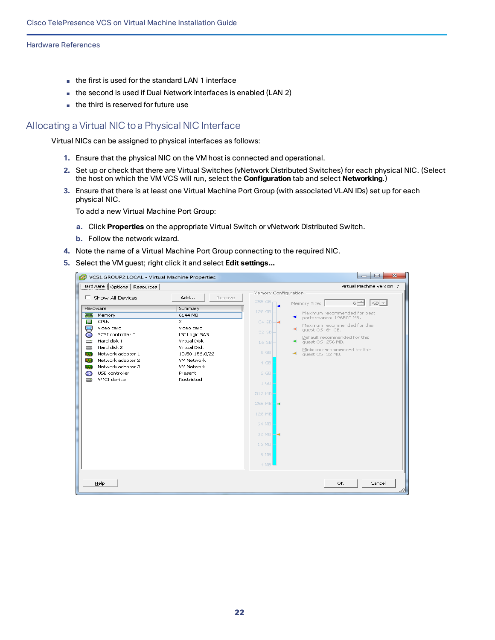#### Hardware References

- the first is used for the standard LAN 1 interface
- the second is used if Dual Network interfaces is enabled (LAN 2)
- the third is reserved for future use

## <span id="page-21-0"></span>Allocating a Virtual NIC to a Physical NIC Interface

Virtual NICs can be assigned to physical interfaces as follows:

- **1.** Ensure that the physical NIC on the VM host is connected and operational.
- **2.** Set up or check that there are Virtual Switches (vNetwork Distributed Switches) for each physical NIC. (Select the host on which the VM VCS will run, select the **Configuration** tab and select **Networking**.)
- **3.** Ensure that there is at least one Virtual Machine Port Group (with associated VLAN IDs) set up for each physical NIC.

To add a new Virtual Machine Port Group:

- **a.** Click **Properties** on the appropriate Virtual Switch or vNetwork Distributed Switch.
- **b.** Follow the network wizard.
- **4.** Note the name of a Virtual Machine Port Group connecting to the required NIC.
- **5.** Select the VM guest; right click it and select **Edit settings…**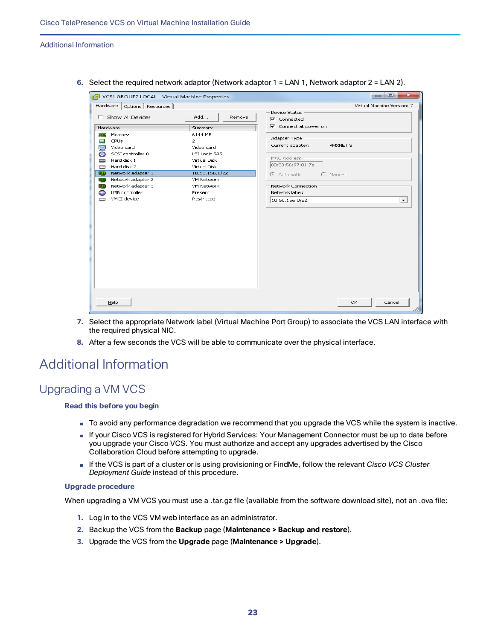#### Additional Information

| VCS1.GROUP2.LOCAL - Virtual Machine Properties                                                                                                                                                                                                                                                                |                                                                                                                                                                         |                                                                                                                                                                                                                            | $\overline{\mathbf{x}}$<br>$\Box$<br>$\qquad \qquad$ |
|---------------------------------------------------------------------------------------------------------------------------------------------------------------------------------------------------------------------------------------------------------------------------------------------------------------|-------------------------------------------------------------------------------------------------------------------------------------------------------------------------|----------------------------------------------------------------------------------------------------------------------------------------------------------------------------------------------------------------------------|------------------------------------------------------|
| Hardware   Options   Resources  <br>Show All Devices<br>Hardware<br>Memory<br><b>TETT</b><br>CPUs<br>$\Box$<br>Video card<br>SCSI controller 0<br>G<br>Hard disk 1<br>o<br>Hard disk 2<br>▭<br>Network adapter 1<br><b>Big)</b><br>Network adapter 2<br>me,<br>Network adapter 3<br>明治<br>USB controller<br>⊝ | Add<br>Remove<br>Summary<br>6144 MB<br>2<br>Video card<br><b>LSI Logic SAS</b><br>Virtual Disk<br>Virtual Disk<br>10.50.156.0/22<br>VM Network<br>VM Network<br>Present | Device Status<br>$\nabla$ Connected<br>$\nabla$ Connect at power on<br>Adapter Type<br>Current adapter:<br>VMXNET 3<br>MAC Address<br>00:50:56:97:01:7a<br>C Manual<br>C Automatic<br>Network Connection<br>Network label: | Virtual Machine Version: 7                           |
| VMCI device<br>ా                                                                                                                                                                                                                                                                                              | Restricted                                                                                                                                                              | 10.50.156.0/22                                                                                                                                                                                                             | $\overline{\phantom{a}}$                             |
| Help                                                                                                                                                                                                                                                                                                          |                                                                                                                                                                         | OK.                                                                                                                                                                                                                        | Cancel                                               |

**6.** Select the required network adaptor (Network adaptor 1 = LAN 1, Network adaptor 2 = LAN 2).

- **7.** Select the appropriate Network label (Virtual Machine Port Group) to associate the VCS LAN interface with the required physical NIC.
- **8.** After a few seconds the VCS will be able to communicate over the physical interface.

## <span id="page-22-1"></span><span id="page-22-0"></span>Additional Information

## Upgrading a VM VCS

## **Read this before you begin**

- To avoid any performance degradation we recommend that you upgrade the VCS while the system is inactive.
- If your Cisco VCS is registered for Hybrid Services: Your Management Connector must be up to date before you upgrade your Cisco VCS. You must authorize and accept any upgrades advertised by the Cisco Collaboration Cloud before attempting to upgrade.
- If the VCS is part of a cluster or is using provisioning or FindMe, follow the relevant *Cisco VCS Cluster Deployment Guide* instead of this procedure.

## **Upgrade procedure**

When upgrading a VM VCS you must use a .tar.gz file (available from the software download site), not an .ova file:

- **1.** Log in to the VCS VM web interface as an administrator.
- **2.** Backup the VCS from the **Backup** page (**Maintenance > Backup and restore**).
- **3.** Upgrade the VCS from the **Upgrade** page (**Maintenance > Upgrade**).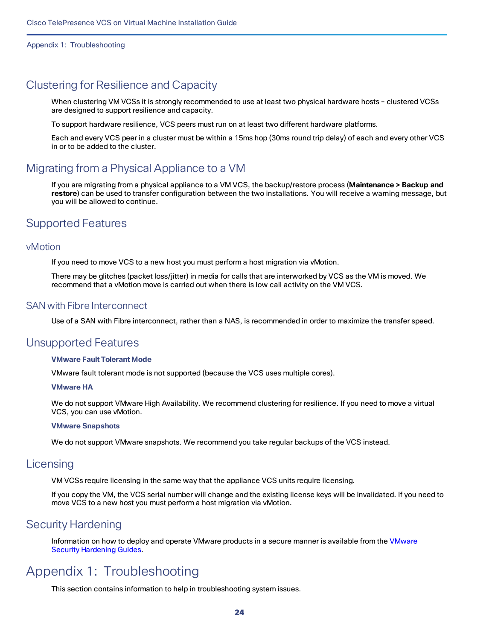## <span id="page-23-0"></span>Clustering for Resilience and Capacity

When clustering VM VCSs it is strongly recommended to use at least two physical hardware hosts – clustered VCSs are designed to support resilience and capacity.

To support hardware resilience, VCS peers must run on at least two different hardware platforms.

Each and every VCS peer in a cluster must be within a 15ms hop (30ms round trip delay) of each and every other VCS in or to be added to the cluster.

## <span id="page-23-1"></span>Migrating from a Physical Appliance to a VM

If you are migrating from a physical appliance to a VM VCS, the backup/restore process (**Maintenance > Backup and restore**) can be used to transfer configuration between the two installations. You will receive a warning message, but you will be allowed to continue.

## <span id="page-23-2"></span>Supported Features

## <span id="page-23-3"></span>vMotion

If you need to move VCS to a new host you must perform a host migration via vMotion.

There may be glitches (packet loss/jitter) in media for calls that are interworked by VCS as the VM is moved. We recommend that a vMotion move is carried out when there is low call activity on the VM VCS.

## <span id="page-23-4"></span>SAN with Fibre Interconnect

Use of a SAN with Fibre interconnect, rather than a NAS, is recommended in order to maximize the transfer speed.

## <span id="page-23-5"></span>Unsupported Features

## **VMware Fault Tolerant Mode**

VMware fault tolerant mode is not supported (because the VCS uses multiple cores).

## **VMware HA**

We do not support VMware High Availability. We recommend clustering for resilience. If you need to move a virtual VCS, you can use vMotion.

## **VMware Snapshots**

We do not support VMware snapshots. We recommend you take regular backups of the VCS instead.

## <span id="page-23-6"></span>**Licensing**

VM VCSs require licensing in the same way that the appliance VCS units require licensing.

If you copy the VM, the VCS serial number will change and the existing license keys will be invalidated. If you need to move VCS to a new host you must perform a host migration via vMotion.

## <span id="page-23-7"></span>Security Hardening

Information on how to deploy and operate VMware products in a secure manner is available from the [VMware](http://www.vmware.com/security/hardening-guides.html) Security [Hardening](http://www.vmware.com/security/hardening-guides.html) Guides.

## <span id="page-23-8"></span>Appendix 1: Troubleshooting

This section contains information to help in troubleshooting system issues.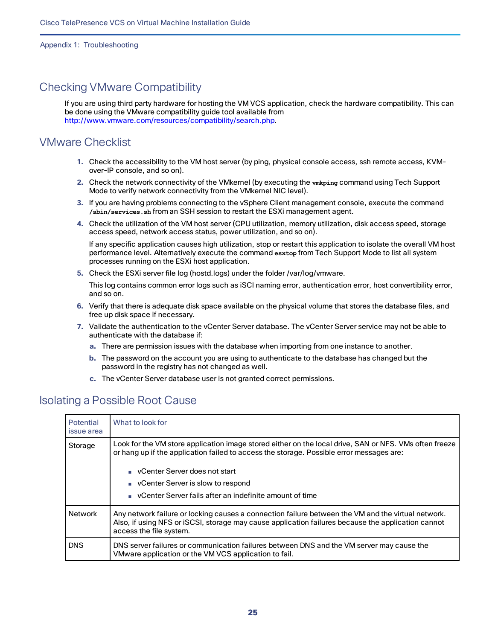## <span id="page-24-0"></span>Checking VMware Compatibility

If you are using third party hardware for hosting the VM VCS application, check the hardware compatibility. This can be done using the VMware compatibility guide tool available from [http://www.vmware.com/resources/compatibility/search.php.](http://www.vmware.com/resources/compatibility/search.php)

## <span id="page-24-1"></span>VMware Checklist

- **1.** Check the accessibility to the VM host server (by ping, physical console access, ssh remote access, KVMover-IP console, and so on).
- **2.** Check the network connectivity of the VMkernel (by executing the **vmkping** command using Tech Support Mode to verify network connectivity from the VMkernel NIC level).
- **3.** If you are having problems connecting to the vSphere Client management console, execute the command **/sbin/services.sh** from an SSH session to restart the ESXi management agent.
- **4.** Check the utilization of the VM host server (CPU utilization, memory utilization, disk access speed, storage access speed, network access status, power utilization, and so on).

If any specific application causes high utilization, stop or restart this application to isolate the overall VM host performance level. Alternatively execute the command **esxtop** from Tech Support Mode to list all system processes running on the ESXi host application.

**5.** Check the ESXi server file log (hostd.logs) under the folder /var/log/vmware.

This log contains common error logs such as iSCI naming error, authentication error, host convertibility error, and so on.

- **6.** Verify that there is adequate disk space available on the physical volume that stores the database files, and free up disk space if necessary.
- **7.** Validate the authentication to the vCenter Server database. The vCenter Server service may not be able to authenticate with the database if:
	- **a.** There are permission issues with the database when importing from one instance to another.
	- **b.** The password on the account you are using to authenticate to the database has changed but the password in the registry has not changed as well.
	- **c.** The vCenter Server database user is not granted correct permissions.

## <span id="page-24-2"></span>Isolating a Possible Root Cause

| Potential<br>issue area | What to look for                                                                                                                                                                                                                    |
|-------------------------|-------------------------------------------------------------------------------------------------------------------------------------------------------------------------------------------------------------------------------------|
| Storage                 | Look for the VM store application image stored either on the local drive, SAN or NFS. VMs often freeze<br>or hang up if the application failed to access the storage. Possible error messages are:                                  |
|                         | ■ vCenter Server does not start<br>• vCenter Server is slow to respond<br>• vCenter Server fails after an indefinite amount of time                                                                                                 |
| Network                 | Any network failure or locking causes a connection failure between the VM and the virtual network.<br>Also, if using NFS or iSCSI, storage may cause application failures because the application cannot<br>access the file system. |
| <b>DNS</b>              | DNS server failures or communication failures between DNS and the VM server may cause the<br>VMware application or the VM VCS application to fail.                                                                                  |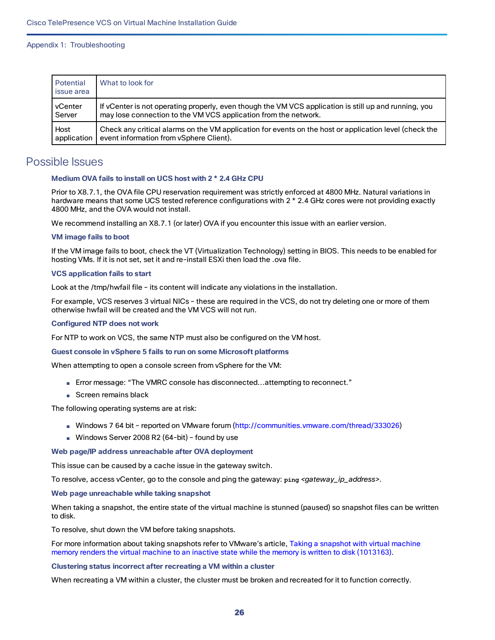| Potential<br>l issue area | What to look for                                                                                       |
|---------------------------|--------------------------------------------------------------------------------------------------------|
| l vCenter                 | If vCenter is not operating properly, even though the VM VCS application is still up and running, you  |
| Server                    | may lose connection to the VM VCS application from the network.                                        |
| Host                      | Check any critical alarms on the VM application for events on the host or application level (check the |
| application               | event information from vSphere Client).                                                                |

## <span id="page-25-0"></span>Possible Issues

## **Medium OVA fails to install on UCS host with 2 \* 2.4 GHz CPU**

Prior to X8.7.1, the OVA file CPU reservation requirement was strictly enforced at 4800 MHz. Natural variations in hardware means that some UCS tested reference configurations with 2 \* 2.4 GHz cores were not providing exactly 4800 MHz, and the OVA would not install.

We recommend installing an X8.7.1 (or later) OVA if you encounter this issue with an earlier version.

#### **VM image fails to boot**

If the VM image fails to boot, check the VT (Virtualization Technology) setting in BIOS. This needs to be enabled for hosting VMs. If it is not set, set it and re-install ESXi then load the .ova file.

### **VCS application fails to start**

Look at the /tmp/hwfail file – its content will indicate any violations in the installation.

For example, VCS reserves 3 virtual NICs – these are required in the VCS, do not try deleting one or more of them otherwise hwfail will be created and the VM VCS will not run.

#### **Configured NTP does not work**

For NTP to work on VCS, the same NTP must also be configured on the VM host.

#### **Guest console in vSphere 5 fails to run on some Microsoft platforms**

When attempting to open a console screen from vSphere for the VM:

- Error message: "The VMRC console has disconnected...attempting to reconnect."
- Screen remains black

The following operating systems are at risk:

- Windows 7 64 bit reported on VMware forum [\(http://communities.vmware.com/thread/333026](http://communities.vmware.com/thread/333026))
- Windows Server 2008 R2 (64-bit) found by use

#### **Web page/IP address unreachable after OVA deployment**

This issue can be caused by a cache issue in the gateway switch.

To resolve, access vCenter, go to the console and ping the gateway: **ping** *<gateway\_ip\_address>*.

#### **Web page unreachable while taking snapshot**

When taking a snapshot, the entire state of the virtual machine is stunned (paused) so snapshot files can be written to disk.

To resolve, shut down the VM before taking snapshots.

For more information about taking snapshots refer to VMware's article, Taking a [snapshot](http://kb.vmware.com/selfservice/search.do?cmd=displayKC&docType=kc&docTypeID=DT_KB_1_1&externalId=1013163) with virtual machine memory renders the virtual machine to an inactive state while the memory is written to disk [\(1013163\)](http://kb.vmware.com/selfservice/search.do?cmd=displayKC&docType=kc&docTypeID=DT_KB_1_1&externalId=1013163).

#### **Clustering status incorrect after recreating a VM within a cluster**

When recreating a VM within a cluster, the cluster must be broken and recreated for it to function correctly.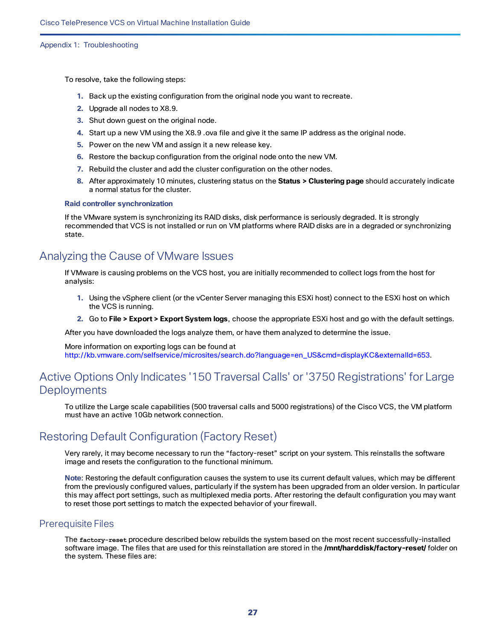To resolve, take the following steps:

- **1.** Back up the existing configuration from the original node you want to recreate.
- **2.** Upgrade all nodes to X8.9.
- **3.** Shut down guest on the original node.
- **4.** Start up a new VM using the X8.9 .ova file and give it the same IP address as the original node.
- **5.** Power on the new VM and assign it a new release key.
- **6.** Restore the backup configuration from the original node onto the new VM.
- **7.** Rebuild the cluster and add the cluster configuration on the other nodes.
- **8.** After approximately 10 minutes, clustering status on the **Status > Clustering page** should accurately indicate a normal status for the cluster.

#### **Raid controller synchronization**

If the VMware system is synchronizing its RAID disks, disk performance is seriously degraded. It is strongly recommended that VCS is not installed or run on VM platforms where RAID disks are in a degraded or synchronizing state.

## <span id="page-26-0"></span>Analyzing the Cause of VMware Issues

If VMware is causing problems on the VCS host, you are initially recommended to collect logs from the host for analysis:

- **1.** Using the vSphere client (or the vCenter Server managing this ESXi host) connect to the ESXi host on which the VCS is running.
- **2.** Go to **File > Export > Export System logs**, choose the appropriate ESXi host and go with the default settings.

After you have downloaded the logs analyze them, or have them analyzed to determine the issue.

More information on exporting logs can be found at [http://kb.vmware.com/selfservice/microsites/search.do?language=en\\_US&cmd=displayKC&externalId=653.](http://kb.vmware.com/selfservice/microsites/search.do?language=en_US&cmd=displayKC&externalId=653)

## <span id="page-26-1"></span>Active Options Only Indicates '150 Traversal Calls' or '3750 Registrations' for Large **Deployments**

To utilize the Large scale capabilities (500 traversal calls and 5000 registrations) of the Cisco VCS, the VM platform must have an active 10Gb network connection.

## <span id="page-26-2"></span>Restoring Default Configuration (Factory Reset)

Very rarely, it may become necessary to run the "factory-reset" script on your system. This reinstalls the software image and resets the configuration to the functional minimum.

**Note**: Restoring the default configuration causes the system to use its current default values, which may be different from the previously configured values, particularly if the system has been upgraded from an older version. In particular this may affect port settings, such as multiplexed media ports. After restoring the default configuration you may want to reset those port settings to match the expected behavior of your firewall.

## <span id="page-26-3"></span>Prerequisite Files

The **factory-reset** procedure described below rebuilds the system based on the most recent successfully-installed software image. The files that are used for this reinstallation are stored in the **/mnt/harddisk/factory-reset/** folder on the system. These files are: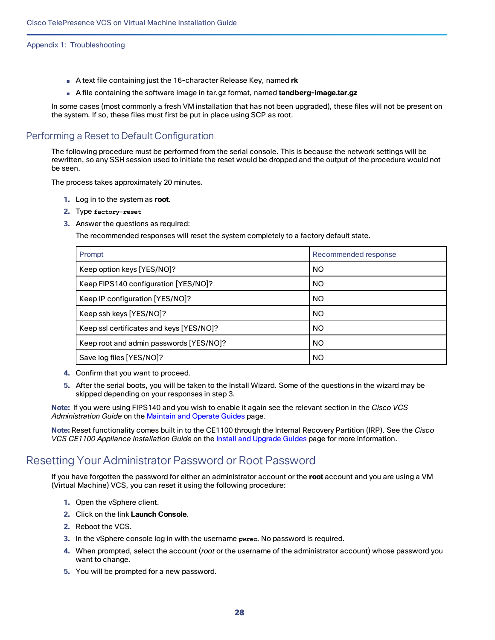- A text file containing just the 16-character Release Key, named **rk**
- A file containing the software image in tar.gz format, named **tandberg-image.tar.gz**

In some cases (most commonly a fresh VM installation that has not been upgraded), these files will not be present on the system. If so, these files must first be put in place using SCP as root.

## <span id="page-27-0"></span>Performing a Reset to Default Configuration

The following procedure must be performed from the serial console. This is because the network settings will be rewritten, so any SSH session used to initiate the reset would be dropped and the output of the procedure would not be seen.

The process takes approximately 20 minutes.

- **1.** Log in to the system as **root**.
- **2.** Type **factory-reset**
- **3.** Answer the questions as required:

The recommended responses will reset the system completely to a factory default state.

| Prompt                                   | Recommended response |  |
|------------------------------------------|----------------------|--|
| Keep option keys [YES/NO]?               | <b>NO</b>            |  |
| Keep FIPS140 configuration [YES/NO]?     | NO                   |  |
| Keep IP configuration [YES/NO]?          | <b>NO</b>            |  |
| Keep ssh keys [YES/NO]?                  | <b>NO</b>            |  |
| Keep ssl certificates and keys [YES/NO]? | <b>NO</b>            |  |
| Keep root and admin passwords [YES/NO]?  | <b>NO</b>            |  |
| Save log files [YES/NO]?                 | <b>NO</b>            |  |

- **4.** Confirm that you want to proceed.
- **5.** After the serial boots, you will be taken to the Install Wizard. Some of the questions in the wizard may be skipped depending on your responses in step 3.

**Note:** If you were using FIPS140 and you wish to enable it again see the relevant section in the *Cisco VCS Administration Guide* on the [Maintain](http://www.cisco.com/c/en/us/support/unified-communications/telepresence-video-communication-server-vcs/products-maintenance-guides-list.html) and Operate Guides page.

**Note:** Reset functionality comes built in to the CE1100 through the Internal Recovery Partition (IRP). See the *Cisco VCS CE1100 Appliance Installation Guide* on the Install and [Upgrade](http://www.cisco.com/c/en/us/support/unified-communications/telepresence-video-communication-server-vcs/products-installation-guides-list.html) Guides page for more information.

## <span id="page-27-1"></span>Resetting Your Administrator Password or Root Password

If you have forgotten the password for either an administrator account or the **root** account and you are using a VM (Virtual Machine) VCS, you can reset it using the following procedure:

- **1.** Open the vSphere client.
- **2.** Click on the link **Launch Console**.
- **2.** Reboot the VCS.
- **3.** In the vSphere console log in with the username **pwrec**. No password is required.
- **4.** When prompted, select the account (*root* or the username of the administrator account) whose password you want to change.
- **5.** You will be prompted for a new password.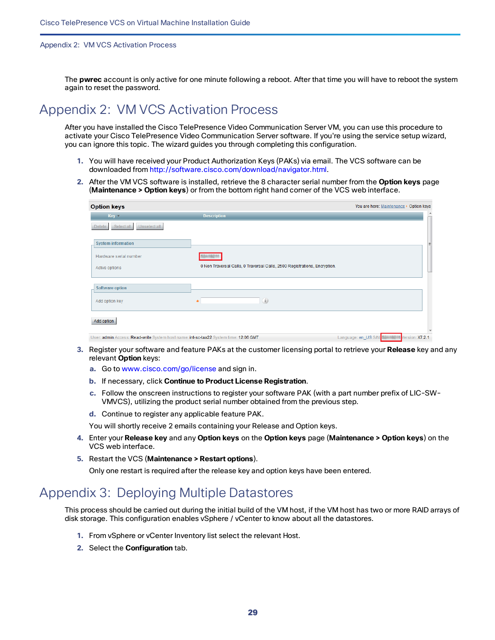#### Appendix 2: VM VCS Activation Process

The **pwrec** account is only active for one minute following a reboot. After that time you will have to reboot the system again to reset the password.

## <span id="page-28-0"></span>Appendix 2: VM VCS Activation Process

After you have installed the Cisco TelePresence Video Communication Server VM, you can use this procedure to activate your Cisco TelePresence Video Communication Server software. If you're using the service setup wizard, you can ignore this topic. The wizard guides you through completing this configuration.

- **1.** You will have received your Product Authorization Keys (PAKs) via email. The VCS software can be downloaded from [http://software.cisco.com/download/navigator.html](http://software.cisco.com/download/navigator.html?mdfid=283613663&i=rm).
- **2.** After the VM VCS software is installed, retrieve the 8 character serial number from the **Option keys** page (**Maintenance > Option keys**) or from the bottom right hand corner of the VCS web interface.

| <b>Option keys</b>                                                                   |                                                                           | You are here: Maintenance > Option keys |
|--------------------------------------------------------------------------------------|---------------------------------------------------------------------------|-----------------------------------------|
| $Key =$                                                                              | <b>Description</b>                                                        | ۰<br>T                                  |
| Unselect all<br>Select all<br><b>Delete</b>                                          |                                                                           |                                         |
| <b>System information</b>                                                            |                                                                           | $\equiv$                                |
| Hardware serial number                                                               |                                                                           |                                         |
| Active options                                                                       | 0 Non Traversal Calls, 0 Traversal Calls, 2500 Registrations, Encryption. |                                         |
| Software option                                                                      |                                                                           |                                         |
| Add option key                                                                       | (i)                                                                       |                                         |
| Add option                                                                           |                                                                           |                                         |
| User: admin Access: Read-write System host name: int-sc-taa22 System time: 12:06 GMT |                                                                           | Language: en_US S/N:<br>Version: X7.2.1 |

- **3.** Register your software and feature PAKs at the customer licensing portal to retrieve your **Release** key and any relevant **Option** keys:
	- **a.** Go to [www.cisco.com/go/license](http://www.cisco.com/go/license) and sign in.
	- **b.** If necessary, click **Continue to Product License Registration**.
	- **c.** Follow the onscreen instructions to register your software PAK (with a part number prefix of LIC-SW-VMVCS), utilizing the product serial number obtained from the previous step.
	- **d.** Continue to register any applicable feature PAK.

You will shortly receive 2 emails containing your Release and Option keys.

- **4.** Enter your **Release key** and any **Option keys** on the **Option keys** page (**Maintenance > Option keys**) on the VCS web interface.
- **5.** Restart the VCS (**Maintenance > Restart options**).

Only one restart is required after the release key and option keys have been entered.

## <span id="page-28-1"></span>Appendix 3: Deploying Multiple Datastores

This process should be carried out during the initial build of the VM host, if the VM host has two or more RAID arrays of disk storage. This configuration enables vSphere / vCenter to know about all the datastores.

- **1.** From vSphere or vCenter Inventory list select the relevant Host.
- **2.** Select the **Configuration** tab.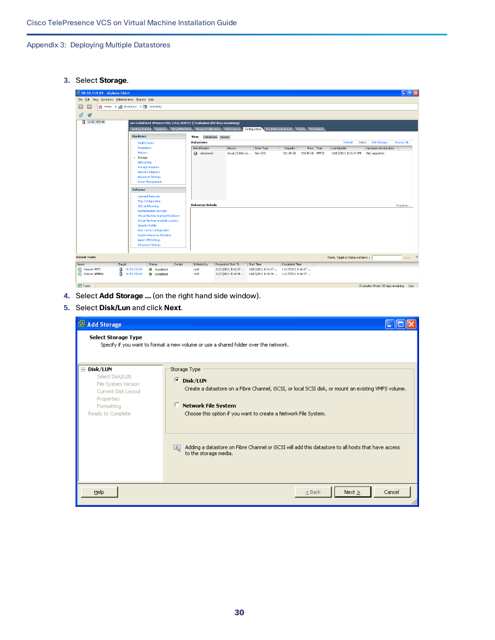**3.** Select **Storage**.

| 10.50.159.84 - vSphere Client                            |                                                                                                                                         |                                                                                                                                          | $\Box$ e $\mathsf{x}$ |  |  |  |  |  |
|----------------------------------------------------------|-----------------------------------------------------------------------------------------------------------------------------------------|------------------------------------------------------------------------------------------------------------------------------------------|-----------------------|--|--|--|--|--|
| Edit View Inventory Administration Plug-ins Help<br>File |                                                                                                                                         |                                                                                                                                          |                       |  |  |  |  |  |
| G                                                        | Home <b>b</b> <sub>n</sub> <sup>1</sup> Inventory <b>b</b> iii Inventory                                                                |                                                                                                                                          |                       |  |  |  |  |  |
| 國<br>$\bullet$                                           |                                                                                                                                         |                                                                                                                                          |                       |  |  |  |  |  |
| 10.50.159.84                                             |                                                                                                                                         | vm-vodafone1 VMware ESXi, 5.0.0, 469512   Evaluation (60 days remaining)                                                                 |                       |  |  |  |  |  |
|                                                          | Getting Started Summary<br>Virtual Machines<br>Resource Allocation Performance<br>Configuration Local Users & Groups Events Permissions |                                                                                                                                          |                       |  |  |  |  |  |
|                                                          | <b>Hardware</b><br>Datastores Devices<br>View:                                                                                          |                                                                                                                                          |                       |  |  |  |  |  |
|                                                          | <b>Health Status</b>                                                                                                                    | Refresh<br>Delete<br>Add Storage<br>Rescan All<br><b>Datastores</b>                                                                      |                       |  |  |  |  |  |
|                                                          | Processors<br>Memory                                                                                                                    | Identification<br>Hardware Acceleration<br>Device<br>Drive Type<br>Capacity<br>Free Type<br>Last Update                                  |                       |  |  |  |  |  |
|                                                          | Storage                                                                                                                                 | Local LSI Disk (n Non-SSD<br>datastore1<br>130.05 GB VMFS5<br>11/17/2011 8:16:37 AM<br>Not supported<br>131.00 GB                        |                       |  |  |  |  |  |
|                                                          | Networking                                                                                                                              |                                                                                                                                          |                       |  |  |  |  |  |
|                                                          | <b>Storage Adapters</b><br>Network Adapters                                                                                             |                                                                                                                                          |                       |  |  |  |  |  |
|                                                          | <b>Advanced Settings</b>                                                                                                                |                                                                                                                                          |                       |  |  |  |  |  |
|                                                          | Power Management                                                                                                                        |                                                                                                                                          |                       |  |  |  |  |  |
|                                                          | <b>Software</b>                                                                                                                         |                                                                                                                                          |                       |  |  |  |  |  |
|                                                          | <b>Licensed Features</b>                                                                                                                |                                                                                                                                          |                       |  |  |  |  |  |
|                                                          | <b>Time Configuration</b>                                                                                                               | <b>Datastore Details</b>                                                                                                                 |                       |  |  |  |  |  |
|                                                          | <b>DNS and Routing</b><br><b>Authentication Services</b>                                                                                | Properties                                                                                                                               |                       |  |  |  |  |  |
|                                                          | Virtual Machine Startup/Shutdown                                                                                                        |                                                                                                                                          |                       |  |  |  |  |  |
|                                                          | Virtual Machine Swapfile Location                                                                                                       |                                                                                                                                          |                       |  |  |  |  |  |
|                                                          | Security Profile<br><b>Host Cache Configuration</b>                                                                                     |                                                                                                                                          |                       |  |  |  |  |  |
|                                                          | <b>System Resource Allocation</b>                                                                                                       |                                                                                                                                          |                       |  |  |  |  |  |
|                                                          | Agent VM Settings                                                                                                                       |                                                                                                                                          |                       |  |  |  |  |  |
|                                                          | <b>Advanced Settings</b>                                                                                                                |                                                                                                                                          |                       |  |  |  |  |  |
| <b>Recent Tasks</b>                                      |                                                                                                                                         | Name, Target or Status contains: v                                                                                                       | Clear X               |  |  |  |  |  |
| Name<br>Target                                           | Details<br>Status                                                                                                                       | Completed Time<br>Initiated by<br>Requested Start Ti $\leftarrow$ Start Time                                                             |                       |  |  |  |  |  |
| Rescan VMFS<br>Π<br>Rescan all HBAs                      | 10.50.159.84<br>Completed<br>图 10.50.159.84<br>Completed                                                                                | 11/17/2011 8:16:37  11/17/2011 8:16:37  11/17/2011 8:16:37<br>root<br>11/17/2011 8:16:36  11/17/2011 8:16:36  11/17/2011 8:16:37<br>root |                       |  |  |  |  |  |
|                                                          |                                                                                                                                         |                                                                                                                                          |                       |  |  |  |  |  |
| <b>V</b> Tasks                                           |                                                                                                                                         | Evaluation Mode: 60 days remaining                                                                                                       | root                  |  |  |  |  |  |

- **4.** Select **Add Storage …** (on the right hand side window).
- **5.** Select **Disk/Lun** and click **Next**.

| Add Storage                                                                                                                  |                                                                                                                                                                                                                                                                                                                                                                                  |
|------------------------------------------------------------------------------------------------------------------------------|----------------------------------------------------------------------------------------------------------------------------------------------------------------------------------------------------------------------------------------------------------------------------------------------------------------------------------------------------------------------------------|
| <b>Select Storage Type</b>                                                                                                   | Specify if you want to format a new volume or use a shared folder over the network.                                                                                                                                                                                                                                                                                              |
| ⊟ Disk/LUN<br>Select Disk/LUN<br>File System Version<br>Current Disk Layout<br>Properties<br>Formatting<br>Ready to Complete | Storage Type<br>G.<br>Disk/LUN<br>Create a datastore on a Fibre Channel, iSCSI, or local SCSI disk, or mount an existing VMFS volume.<br>o<br><b>Network File System</b><br>Choose this option if you want to create a Network File System.<br>Adding a datastore on Fibre Channel or iSCSI will add this datastore to all hosts that have access<br>ų,<br>to the storage media. |
| Help                                                                                                                         | Next<br>$\leq$ Back<br>Cancel                                                                                                                                                                                                                                                                                                                                                    |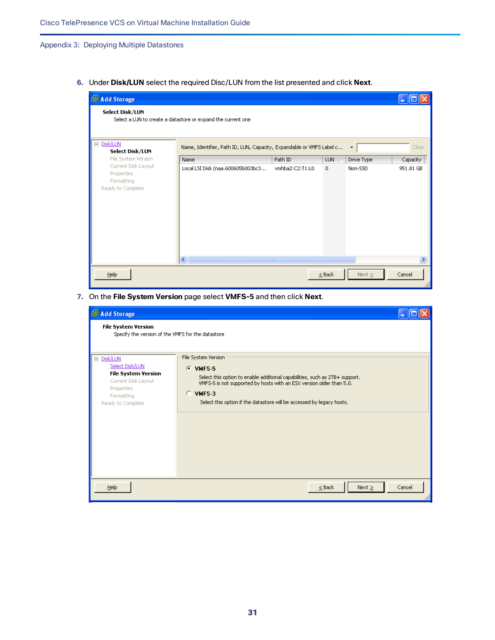**6.** Under **Disk/LUN** select the required Disc/LUN from the list presented and click **Next**.

| Add Storage                                                          |                                                                                    |                  |              |             |           |  |  |
|----------------------------------------------------------------------|------------------------------------------------------------------------------------|------------------|--------------|-------------|-----------|--|--|
| Select Disk/LUN                                                      | Select a LUN to create a datastore or expand the current one                       |                  |              |             |           |  |  |
| Disk/LUN<br>Ξ<br>Select Disk/LUN                                     | Name, Identifier, Path ID, LUN, Capacity, Expandable or VMFS Label c<br>Clear<br>۰ |                  |              |             |           |  |  |
| File System Version                                                  | Name                                                                               | Path ID          | $LUN \times$ | Drive Type  | Capacity  |  |  |
| Current Disk Layout<br>Properties<br>Formatting<br>Ready to Complete | Local LSI Disk (naa.600605b003bc3                                                  | vmhba2:C2:T1:L0  | $\mathbf{0}$ | Non-SSD     | 951.81 GB |  |  |
|                                                                      | $\left  \cdot \right $                                                             | $\parallel$ IIII |              |             |           |  |  |
| Help                                                                 |                                                                                    |                  | $\leq$ Back  | Next $\geq$ | Cancel    |  |  |

**7.** On the **File System Version** page select **VMFS-5** and then click **Next**.

| Add Storage                                                                                                                         |                                                                                                                                                                                                                                                                                 |        |
|-------------------------------------------------------------------------------------------------------------------------------------|---------------------------------------------------------------------------------------------------------------------------------------------------------------------------------------------------------------------------------------------------------------------------------|--------|
| <b>File System Version</b><br>Specify the version of the VMFS for the datastore                                                     |                                                                                                                                                                                                                                                                                 |        |
| □ Disk/LUN<br>Select Disk/LUN<br><b>File System Version</b><br>Current Disk Layout<br>Properties<br>Formatting<br>Ready to Complete | File System Version<br>$C$ VMFS-5<br>Select this option to enable additional capabilities, such as 2TB+ support.<br>VMFS-5 is not supported by hosts with an ESX version older than 5.0.<br>$C$ VMFS-3<br>Select this option if the datastore will be accessed by legacy hosts. |        |
| Help                                                                                                                                | Next<br>$\leq$ Back                                                                                                                                                                                                                                                             | Cancel |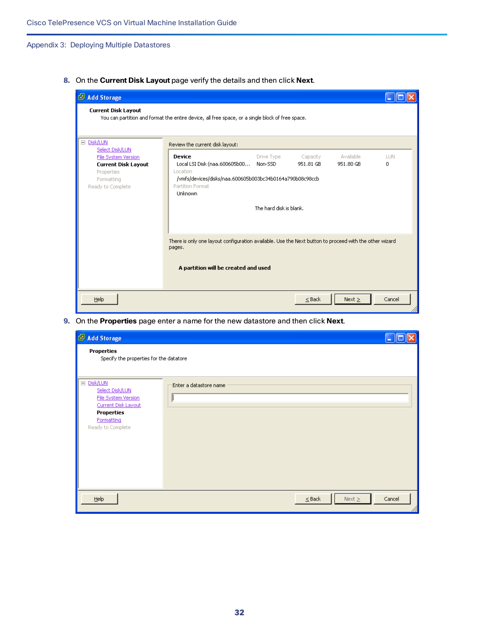**8.** On the **Current Disk Layout** page verify the details and then click **Next**.

| Add Storage                                                                                                                    |                                                                                                                                                          |                                                  |                       |                        |                 |  |
|--------------------------------------------------------------------------------------------------------------------------------|----------------------------------------------------------------------------------------------------------------------------------------------------------|--------------------------------------------------|-----------------------|------------------------|-----------------|--|
| <b>Current Disk Layout</b><br>You can partition and format the entire device, all free space, or a single block of free space. |                                                                                                                                                          |                                                  |                       |                        |                 |  |
| □ Disk/LUN                                                                                                                     | Review the current disk layout:                                                                                                                          |                                                  |                       |                        |                 |  |
| Select Disk/LUN<br>File System Version<br><b>Current Disk Layout</b><br>Properties<br>Formatting<br>Ready to Complete          | <b>Device</b><br>Local LSI Disk (naa.600605b00<br>Location<br>/vmfs/devices/disks/naa.600605b003bc34b0164a790b08c98ccb<br>Partition Format<br>Unknown    | Drive Type<br>Non-SSD<br>The hard disk is blank. | Capacity<br>951.81 GB | Available<br>951.80 GB | <b>LUN</b><br>0 |  |
|                                                                                                                                | There is only one layout configuration available. Use the Next button to proceed with the other wizard<br>pages.<br>A partition will be created and used |                                                  |                       |                        |                 |  |
| Help                                                                                                                           |                                                                                                                                                          |                                                  | $<$ Back              | Next                   | Cancel          |  |

**9.** On the **Properties** page enter a name for the new datastore and then click **Next**.

| Add Storage                                                                                                                         |                            |        |
|-------------------------------------------------------------------------------------------------------------------------------------|----------------------------|--------|
| <b>Properties</b><br>Specify the properties for the datatore                                                                        |                            |        |
| □ Disk/LUN<br>Select Disk/LUN<br>File System Version<br>Current Disk Layout<br><b>Properties</b><br>Formatting<br>Ready to Complete | Enter a datastore name     |        |
| He                                                                                                                                  | Next $\geq$<br>$\leq$ Back | Cancel |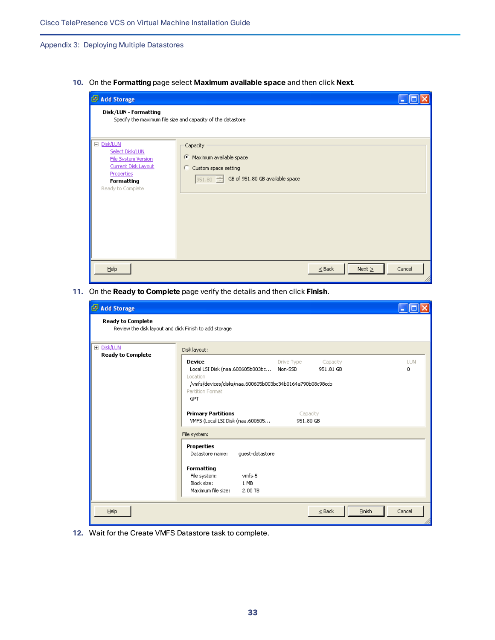**10.** On the **Formatting** page select **Maximum available space** and then click **Next**.

| Add Storage                                                                                                                  |                                                                                                                   |                                      |  |
|------------------------------------------------------------------------------------------------------------------------------|-------------------------------------------------------------------------------------------------------------------|--------------------------------------|--|
| Disk/LUN - Formatting                                                                                                        | Specify the maximum file size and capacity of the datastore                                                       |                                      |  |
| □ Disk/LUN<br>Select Disk/LUN<br>File System Version<br>Current Disk Layout<br>Properties<br>Formatting<br>Ready to Complete | Capacity<br>Maximum available space<br>G.<br>Custom space setting<br>С.<br>951.80 GB of 951.80 GB available space |                                      |  |
| Help                                                                                                                         |                                                                                                                   | Cancel<br>Next $\geq$<br>$\leq$ Back |  |

**11.** On the **Ready to Complete** page verify the details and then click **Finish**.

| Add Storage                                                                        |                                                                                                                                                                                                                                                                                                                                                                                 |                 |
|------------------------------------------------------------------------------------|---------------------------------------------------------------------------------------------------------------------------------------------------------------------------------------------------------------------------------------------------------------------------------------------------------------------------------------------------------------------------------|-----------------|
| <b>Ready to Complete</b><br>Review the disk layout and click Finish to add storage |                                                                                                                                                                                                                                                                                                                                                                                 |                 |
| E Disk/LUN                                                                         | Disk layout:                                                                                                                                                                                                                                                                                                                                                                    |                 |
| <b>Ready to Complete</b>                                                           | <b>Device</b><br>Drive Type<br>Capacity<br>Local LSI Disk (naa.600605b003bc Non-SSD<br>951.81 GB<br>Location<br>/vmfs/devices/disks/naa.600605b003bc34b0164a790b08c98ccb<br>Partition Format<br><b>GPT</b><br><b>Primary Partitions</b><br>Capacity<br>VMFS (Local LSI Disk (naa.600605<br>951.80 GB<br>File system:<br><b>Properties</b><br>quest-datastore<br>Datastore name: | <b>LUN</b><br>0 |
|                                                                                    | Formatting<br>File system:<br>vmfs-5<br>Block size:<br>1 MB<br>Maximum file size:<br>2.00 TB                                                                                                                                                                                                                                                                                    |                 |
| Help                                                                               | Einish<br>$<$ Back                                                                                                                                                                                                                                                                                                                                                              | Cancel          |

**12.** Wait for the Create VMFS Datastore task to complete.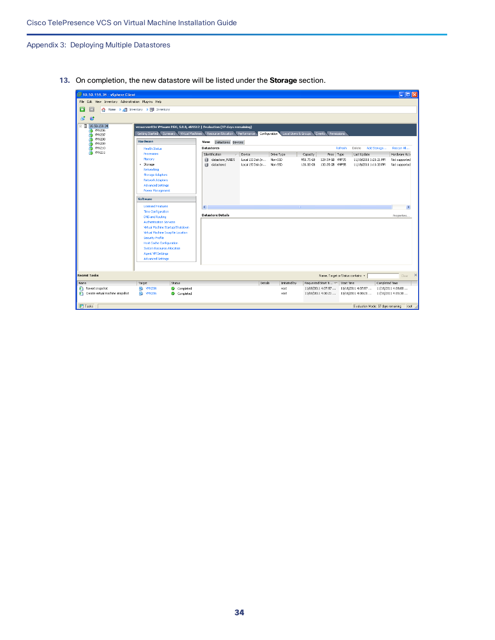**13.** On completion, the new datastore will be listed under the **Storage** section.

| 10.50.159.34 - vSphere Client                                                                 |                                                                                                                                                                                                                                                                                                                                                                                                                                                                                                       |                        |                                                                                                                                                                                                                                                                                                                |                                        |                    |                                                              |                                                                                  | $\Box$ o $\boxtimes$                                 |
|-----------------------------------------------------------------------------------------------|-------------------------------------------------------------------------------------------------------------------------------------------------------------------------------------------------------------------------------------------------------------------------------------------------------------------------------------------------------------------------------------------------------------------------------------------------------------------------------------------------------|------------------------|----------------------------------------------------------------------------------------------------------------------------------------------------------------------------------------------------------------------------------------------------------------------------------------------------------------|----------------------------------------|--------------------|--------------------------------------------------------------|----------------------------------------------------------------------------------|------------------------------------------------------|
| File Edit View Inventory Administration Plug-ins Help                                         |                                                                                                                                                                                                                                                                                                                                                                                                                                                                                                       |                        |                                                                                                                                                                                                                                                                                                                |                                        |                    |                                                              |                                                                                  |                                                      |
| G<br>٨                                                                                        | Home $\triangleright$ $\in$ <b>n</b> Inventory $\triangleright$ <b>n</b> Inventory                                                                                                                                                                                                                                                                                                                                                                                                                    |                        |                                                                                                                                                                                                                                                                                                                |                                        |                    |                                                              |                                                                                  |                                                      |
| 固<br>$\bullet$                                                                                |                                                                                                                                                                                                                                                                                                                                                                                                                                                                                                       |                        |                                                                                                                                                                                                                                                                                                                |                                        |                    |                                                              |                                                                                  |                                                      |
| $\Box$ 10.50.159.34<br><b>B</b> WWX206<br><b>R</b> VMX207<br><b>B</b> WWX208<br><b>NWX209</b> | <b>Hardware</b><br><b>Health Status</b>                                                                                                                                                                                                                                                                                                                                                                                                                                                               |                        | vmserver034 VMware ESXi, 5.0.0, 469512   Evaluation (37 days remaining)<br>Getting Started \ Summary \ Virtual Machines \ Resource Allocation \ Performance \<br>Configuration Local Users & Groups Events Permissions<br>View:<br>Datastores Devices<br>Refresh<br>Delete<br>Add Storage<br><b>Datastores</b> |                                        |                    |                                                              |                                                                                  | Rescan Al                                            |
| WWX210<br><b>B</b> WWX211                                                                     | Processors                                                                                                                                                                                                                                                                                                                                                                                                                                                                                            |                        | Identification                                                                                                                                                                                                                                                                                                 | Device                                 | Drive Type         | Free Type<br>Capacity                                        | Last Update                                                                      | Hardware Acce                                        |
|                                                                                               | Memory<br>> Storage<br>Networking<br><b>Storage Adapters</b><br>Network Adapters<br><b>Advanced Settings</b><br><b>Power Management</b><br><b>Software</b><br><b>Licensed Features</b><br><b>Time Configuration</b><br><b>DNS and Routing</b><br><b>Authentication Services</b><br>Virtual Machine Startup/Shutdown<br>Virtual Machine Swapfile Location<br>Security Profile<br><b>Host Cache Configuration</b><br><b>System Resource Allocation</b><br>Agent VM Settings<br><b>Advanced Settings</b> |                        | datastore RAID5<br>目<br>datastore1<br>$\overline{\phantom{a}}$<br><b>Datastore Details</b>                                                                                                                                                                                                                     | Local LSI Disk (n<br>Local LSI Disk (n | Non-SSD<br>Non-SSD | 951.75 GB<br>129.59 GB VMFS5<br>130.05 GB VMFS5<br>131.00 GB | 11/18/2011 1:21:21 PM<br>11/18/2011 1:11:33 PM                                   | Not supported<br>Not supported<br>$\,$<br>Properties |
| <b>Recent Tasks</b>                                                                           |                                                                                                                                                                                                                                                                                                                                                                                                                                                                                                       |                        |                                                                                                                                                                                                                                                                                                                |                                        |                    |                                                              | Name, Target or Status contains: *                                               | $Clear$ $\times$                                     |
| Name                                                                                          | Target                                                                                                                                                                                                                                                                                                                                                                                                                                                                                                | Status                 |                                                                                                                                                                                                                                                                                                                | Details                                | Initiated by       | Requested Start Ti $\leftarrow$ Start Time                   |                                                                                  | Completed Time                                       |
| Revert snapshot<br>ะา<br>٧ħ<br>Create virtual machine snapshot                                | <b>图 WMX206</b><br>nd VMX206                                                                                                                                                                                                                                                                                                                                                                                                                                                                          | Completed<br>Completed |                                                                                                                                                                                                                                                                                                                |                                        | root<br>root       |                                                              | 11/18/2011 4:07:57  11/18/2011 4:07:57<br>11/18/2011 4:00:21  11/18/2011 4:00:21 | 11/18/2011 4:08:00<br>11/18/2011 4:05:30             |
| <b>ST</b> Tasks                                                                               |                                                                                                                                                                                                                                                                                                                                                                                                                                                                                                       |                        |                                                                                                                                                                                                                                                                                                                |                                        |                    |                                                              |                                                                                  | Evaluation Mode: 37 days remaining<br>root           |